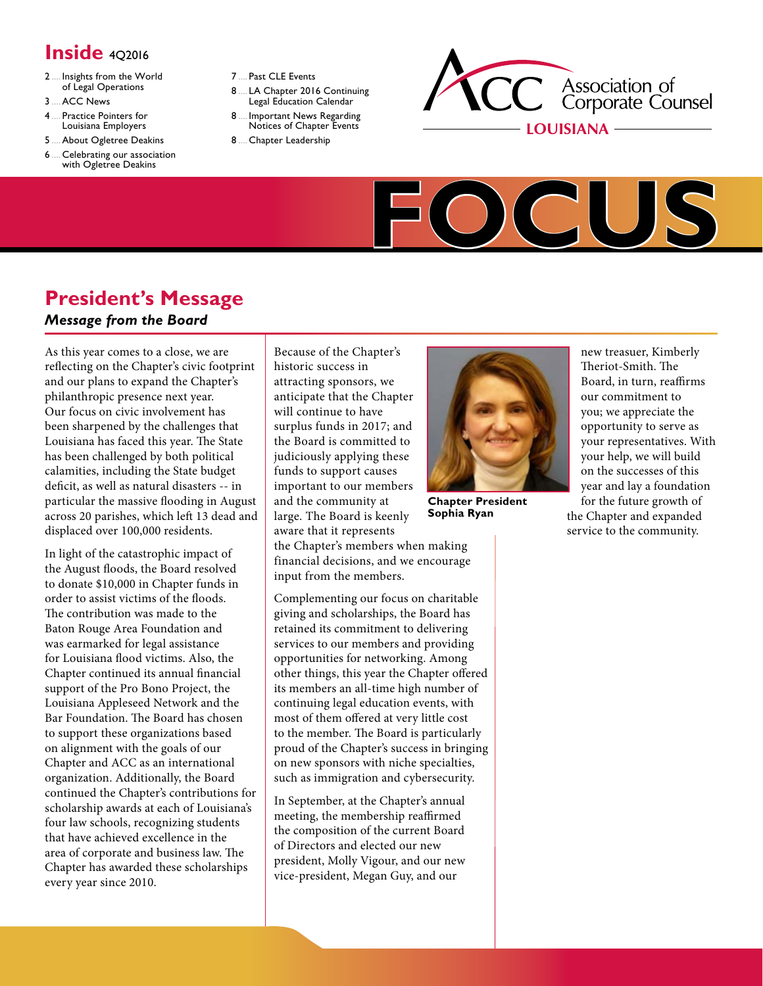# **Inside** 402016

- 2..... [Insights](#page-1-0) from the World of Legal [Operations](#page-1-0)
- [3.....ACC](#page-2-0) News
- 4..... Practice [Pointers](#page-3-0) for Louisiana [Employers](#page-3-0)
- [5.....About](#page-4-0) Ogletree Deakins
- 6..... [Celebrating](#page-5-0) our association with [Ogletree](#page-5-0) Deakins
- 7..... Past CLE [Events](#page-6-0)
- 8..... LA Chapter 2016 [Continuing](#page-7-0) Legal [Education](#page-7-0) Calendar
- 8..... [Important](#page-7-1) News Regarding Notices of [Chapter](#page-7-1) Events
- 8..... Chapter [Leadership](#page-7-2)





# **President's Message**

#### *Message from the Board*

As this year comes to a close, we are reflecting on the Chapter's civic footprint and our plans to expand the Chapter's philanthropic presence next year. Our focus on civic involvement has been sharpened by the challenges that Louisiana has faced this year. The State has been challenged by both political calamities, including the State budget deficit, as well as natural disasters -- in particular the massive flooding in August across 20 parishes, which left 13 dead and displaced over 100,000 residents.

In light of the catastrophic impact of the August floods, the Board resolved to donate \$10,000 in Chapter funds in order to assist victims of the floods. The contribution was made to the Baton Rouge Area Foundation and was earmarked for legal assistance for Louisiana flood victims. Also, the Chapter continued its annual financial support of the Pro Bono Project, the Louisiana Appleseed Network and the Bar Foundation. The Board has chosen to support these organizations based on alignment with the goals of our Chapter and ACC as an international organization. Additionally, the Board continued the Chapter's contributions for scholarship awards at each of Louisiana's four law schools, recognizing students that have achieved excellence in the area of corporate and business law. The Chapter has awarded these scholarships every year since 2010.

Because of the Chapter's historic success in attracting sponsors, we anticipate that the Chapter will continue to have surplus funds in 2017; and the Board is committed to judiciously applying these funds to support causes important to our members and the community at large. The Board is keenly aware that it represents

the Chapter's members when making financial decisions, and we encourage input from the members.

Complementing our focus on charitable giving and scholarships, the Board has retained its commitment to delivering services to our members and providing opportunities for networking. Among other things, this year the Chapter offered its members an all-time high number of continuing legal education events, with most of them offered at very little cost to the member. The Board is particularly proud of the Chapter's success in bringing on new sponsors with niche specialties, such as immigration and cybersecurity.

In September, at the Chapter's annual meeting, the membership reaffirmed the composition of the current Board of Directors and elected our new president, Molly Vigour, and our new vice-president, Megan Guy, and our



**Chapter President Sophia Ryan**

new treasuer, Kimberly Theriot-Smith. The Board, in turn, reaffirms our commitment to you; we appreciate the opportunity to serve as your representatives. With your help, we will build on the successes of this year and lay a foundation for the future growth of the Chapter and expanded service to the community.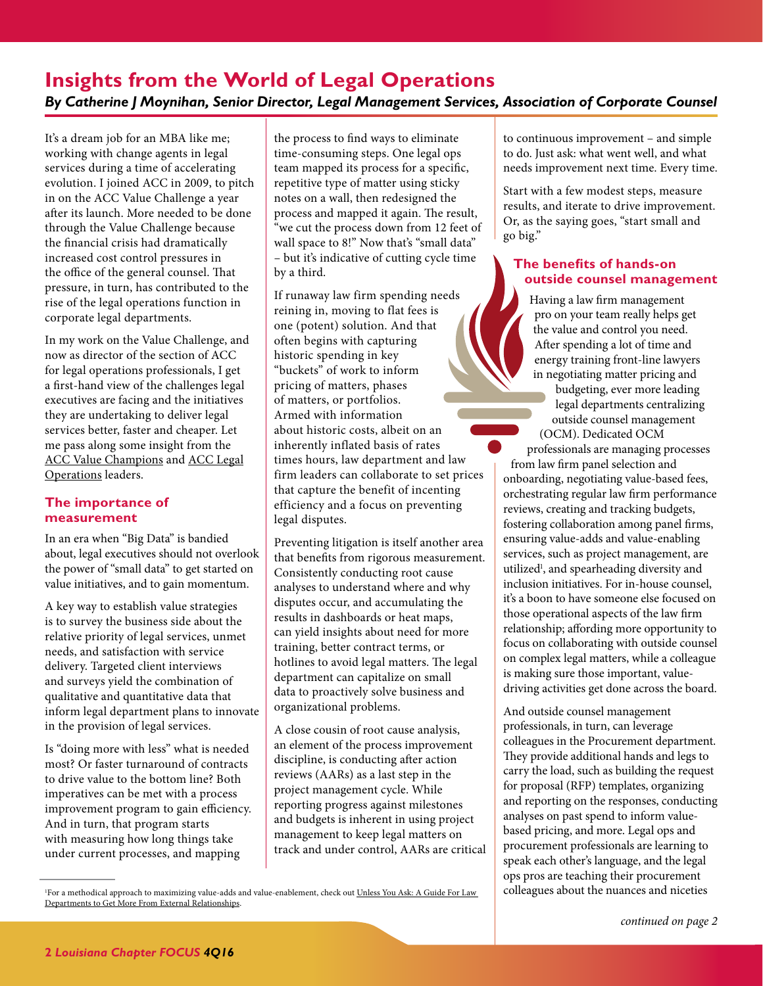### <span id="page-1-1"></span><span id="page-1-0"></span>**Insights from the World of Legal Operations** *By Catherine J Moynihan, Senior Director, Legal Management Services, Association of Corporate Counsel*

It's a dream job for an MBA like me; working with change agents in legal services during a time of accelerating evolution. I joined ACC in 2009, to pitch in on the ACC Value Challenge a year after its launch. More needed to be done through the Value Challenge because the financial crisis had dramatically increased cost control pressures in the office of the general counsel. That pressure, in turn, has contributed to the rise of the legal operations function in corporate legal departments.

In my work on the Value Challenge, and now as director of the section of ACC for legal operations professionals, I get a first-hand view of the challenges legal executives are facing and the initiatives they are undertaking to deliver legal services better, faster and cheaper. Let me pass along some insight from the [ACC Value Champions](http://www.acc.com/valuechampions) and [ACC Legal](http://www.acc.com/legalops) [Operations](http://www.acc.com/legalops) leaders.

#### **The importance of measurement**

In an era when "Big Data" is bandied about, legal executives should not overlook the power of "small data" to get started on value initiatives, and to gain momentum.

A key way to establish value strategies is to survey the business side about the relative priority of legal services, unmet needs, and satisfaction with service delivery. Targeted client interviews and surveys yield the combination of qualitative and quantitative data that inform legal department plans to innovate in the provision of legal services.

Is "doing more with less" what is needed most? Or faster turnaround of contracts to drive value to the bottom line? Both imperatives can be met with a process improvement program to gain efficiency. And in turn, that program starts with measuring how long things take under current processes, and mapping

the process to find ways to eliminate time-consuming steps. One legal ops team mapped its process for a specific, repetitive type of matter using sticky notes on a wall, then redesigned the process and mapped it again. The result, "we cut the process down from 12 feet of wall space to 8!" Now that's "small data" – but it's indicative of cutting cycle time by a third.

If runaway law firm spending needs reining in, moving to flat fees is one (potent) solution. And that often begins with capturing historic spending in key "buckets" of work to inform pricing of matters, phases of matters, or portfolios. Armed with information about historic costs, albeit on an inherently inflated basis of rates times hours, law department and law firm leaders can collaborate to set prices that capture the benefit of incenting efficiency and a focus on preventing legal disputes.

Preventing litigation is itself another area that benefits from rigorous measurement. Consistently conducting root cause analyses to understand where and why disputes occur, and accumulating the results in dashboards or heat maps, can yield insights about need for more training, better contract terms, or hotlines to avoid legal matters. The legal department can capitalize on small data to proactively solve business and organizational problems.

A close cousin of root cause analysis, an element of the process improvement discipline, is conducting after action reviews (AARs) as a last step in the project management cycle. While reporting progress against milestones and budgets is inherent in using project management to keep legal matters on track and under control, AARs are critical to continuous improvement – and simple to do. Just ask: what went well, and what needs improvement next time. Every time.

Start with a few modest steps, measure results, and iterate to drive improvement. Or, as the saying goes, "start small and go big."

#### **The benefits of hands-on outside counsel management**

Having a law firm management pro on your team really helps get the value and control you need. After spending a lot of time and energy training front-line lawyers in negotiating matter pricing and budgeting, ever more leading

legal departments centralizing outside counsel management (OCM). Dedicated OCM

professionals are managing processes from law firm panel selection and onboarding, negotiating value-based fees, orchestrating regular law firm performance reviews, creating and tracking budgets, fostering collaboration among panel firms, ensuring value-adds and value-enabling services, such as project management, are utilized<sup>1</sup>, and spearheading diversity and inclusion initiatives. For in-house counsel, it's a boon to have someone else focused on those operational aspects of the law firm relationship; affording more opportunity to focus on collaborating with outside counsel on complex legal matters, while a colleague is making sure those important, valuedriving activities get done across the board.

And outside counsel management professionals, in turn, can leverage colleagues in the Procurement department. They provide additional hands and legs to carry the load, such as building the request for proposal (RFP) templates, organizing and reporting on the responses, conducting analyses on past spend to inform valuebased pricing, and more. Legal ops and procurement professionals are learning to speak each other's language, and the legal ops pros are teaching their procurement colleagues about the nuances and niceties

<sup>&</sup>lt;sup>1</sup>For a methodical approach to maximizing value-adds and value-enablement, check out <u>Unless You Ask: A Guide For Law</u> [Departments to Get More From External Relationships](http://www.acc.com/legalresources/resource.cfm?show=1432511).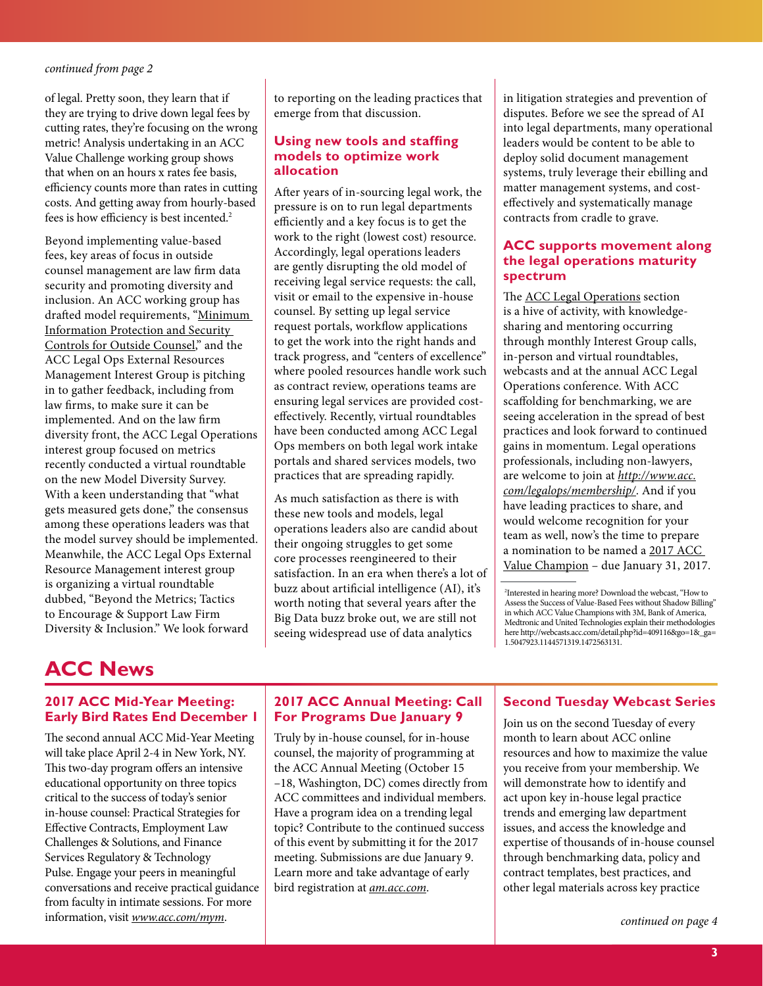#### <span id="page-2-1"></span>*[continued from page 2](#page-1-1)*

of legal. Pretty soon, they learn that if they are trying to drive down legal fees by cutting rates, they're focusing on the wrong metric! Analysis undertaking in an ACC Value Challenge working group shows that when on an hours x rates fee basis, efficiency counts more than rates in cutting costs. And getting away from hourly-based fees is how efficiency is best incented.2

Beyond implementing value-based fees, key areas of focus in outside counsel management are law firm data security and promoting diversity and inclusion. An ACC working group has drafted model requirements, "[Minimum](http://www.acc.com/advocacy/upload/Minimum-Information-Protection-and-Security-Controls-for-Outside-Counsel-draft-Fall-2016.pdf)  [Information Protection and Security](http://www.acc.com/advocacy/upload/Minimum-Information-Protection-and-Security-Controls-for-Outside-Counsel-draft-Fall-2016.pdf)  [Controls for Outside Counsel,](http://www.acc.com/advocacy/upload/Minimum-Information-Protection-and-Security-Controls-for-Outside-Counsel-draft-Fall-2016.pdf)" and the ACC Legal Ops External Resources Management Interest Group is pitching in to gather feedback, including from law firms, to make sure it can be implemented. And on the law firm diversity front, the ACC Legal Operations interest group focused on metrics recently conducted a virtual roundtable on the new Model Diversity Survey. With a keen understanding that "what gets measured gets done," the consensus among these operations leaders was that the model survey should be implemented. Meanwhile, the ACC Legal Ops External Resource Management interest group is organizing a virtual roundtable dubbed, "Beyond the Metrics; Tactics to Encourage & Support Law Firm Diversity & Inclusion." We look forward

to reporting on the leading practices that emerge from that discussion.

#### **Using new tools and staffing models to optimize work allocation**

After years of in-sourcing legal work, the pressure is on to run legal departments efficiently and a key focus is to get the work to the right (lowest cost) resource. Accordingly, legal operations leaders are gently disrupting the old model of receiving legal service requests: the call, visit or email to the expensive in-house counsel. By setting up legal service request portals, workflow applications to get the work into the right hands and track progress, and "centers of excellence" where pooled resources handle work such as contract review, operations teams are ensuring legal services are provided costeffectively. Recently, virtual roundtables have been conducted among ACC Legal Ops members on both legal work intake portals and shared services models, two practices that are spreading rapidly.

As much satisfaction as there is with these new tools and models, legal operations leaders also are candid about their ongoing struggles to get some core processes reengineered to their satisfaction. In an era when there's a lot of buzz about artificial intelligence (AI), it's worth noting that several years after the Big Data buzz broke out, we are still not seeing widespread use of data analytics

in litigation strategies and prevention of disputes. Before we see the spread of AI into legal departments, many operational leaders would be content to be able to deploy solid document management systems, truly leverage their ebilling and matter management systems, and costeffectively and systematically manage contracts from cradle to grave.

#### **ACC supports movement along the legal operations maturity spectrum**

The [ACC Legal Operations](http://www.acc.com/legalops) section is a hive of activity, with knowledgesharing and mentoring occurring through monthly Interest Group calls, in-person and virtual roundtables, webcasts and at the annual ACC Legal Operations conference. With ACC scaffolding for benchmarking, we are seeing acceleration in the spread of best practices and look forward to continued gains in momentum. Legal operations professionals, including non-lawyers, are welcome to join at *[http://www.acc.](http://www.acc.com/legalops/membership/) [com/legalops/membership/](http://www.acc.com/legalops/membership/)*. And if you have leading practices to share, and would welcome recognition for your team as well, now's the time to prepare a nomination to be named a [2017 ACC](http://www.acc.com/valuechallenge/valuechamps/) [Value Champion](http://www.acc.com/valuechallenge/valuechamps/) – due January 31, 2017.

## <span id="page-2-0"></span>**ACC News**

#### **2017 ACC Mid-Year Meeting: Early Bird Rates End December 1**

The second annual ACC Mid-Year Meeting will take place April 2-4 in New York, NY. This two-day program offers an intensive educational opportunity on three topics critical to the success of today's senior in-house counsel: Practical Strategies for Effective Contracts, Employment Law Challenges & Solutions, and Finance Services Regulatory & Technology Pulse. Engage your peers in meaningful conversations and receive practical guidance from faculty in intimate sessions. For more information, visit *www.acc.com/mym*.

#### **2017 ACC Annual Meeting: Call For Programs Due January 9**

Truly by in-house counsel, for in-house counsel, the majority of programming at the ACC Annual Meeting (October 15 –18, Washington, DC) comes directly from ACC committees and individual members. Have a program idea on a trending legal topic? Contribute to the continued success of this event by submitting it for the 2017 meeting. Submissions are due January 9. Learn more and take advantage of early bird registration at *am.acc.com*.

#### **Second Tuesday Webcast Series**

Join us on the second Tuesday of every month to learn about ACC online resources and how to maximize the value you receive from your membership. We will demonstrate how to identify and act upon key in-house legal practice trends and emerging law department issues, and access the knowledge and expertise of thousands of in-house counsel through benchmarking data, policy and contract templates, best practices, and other legal materials across key practice

*[continued on page 4](#page-3-1)*

<sup>2</sup> Interested in hearing more? Download the webcast, "How to Assess the Success of Value-Based Fees without Shadow Billing" in which ACC Value Champions with 3M, Bank of America, Medtronic and United Technologies explain their methodologies here [http://webcasts.acc.com/detail.php?id=409116&go=1&\\_ga=](http://webcasts.acc.com/detail.php?id=409116&go=1&_ga=1.5047923.1144571319.1472563131) [1.5047923.1144571319.1472563131.](http://webcasts.acc.com/detail.php?id=409116&go=1&_ga=1.5047923.1144571319.1472563131)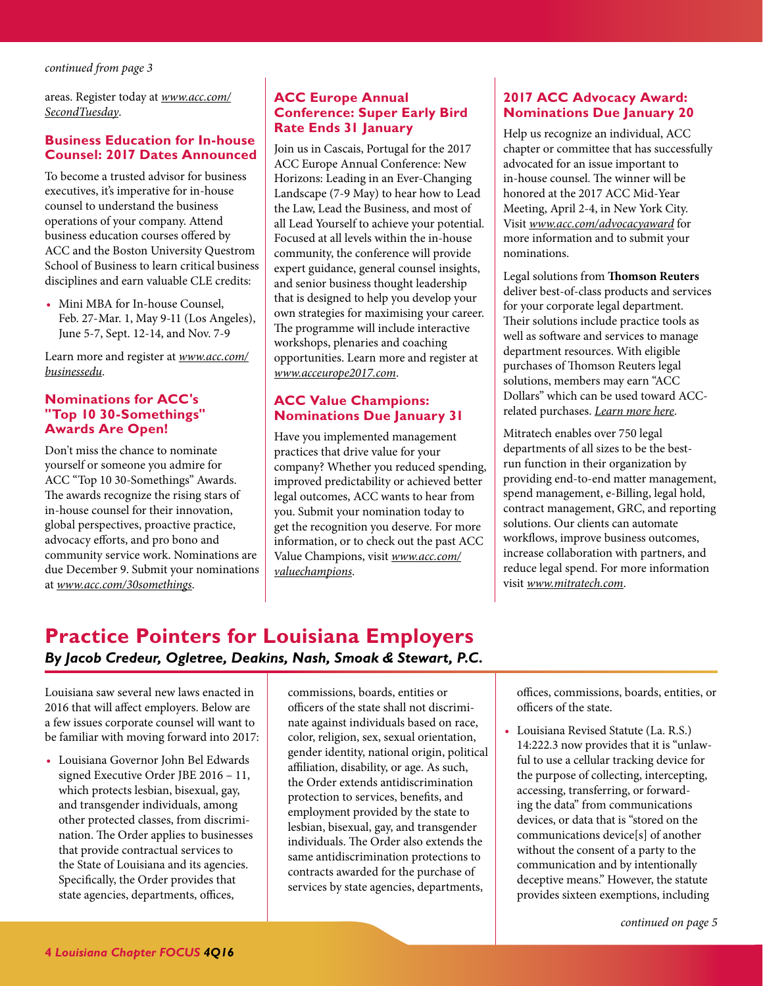<span id="page-3-1"></span>*[continued from page 3](#page-2-0)*

areas. Register today at *[www.acc.com/](http://www.acc.com/membership/onsite-ed.cfm) [SecondTuesday](http://www.acc.com/membership/onsite-ed.cfm)*.

#### **Business Education for In-house Counsel: 2017 Dates Announced**

To become a trusted advisor for business executives, it's imperative for in-house counsel to understand the business operations of your company. Attend business education courses offered by ACC and the Boston University Questrom School of Business to learn critical business disciplines and earn valuable CLE credits:

• Mini MBA for In-house Counsel, Feb. 27-Mar. 1, May 9-11 (Los Angeles), June 5-7, Sept. 12-14, and Nov. 7-9

Learn more and register at *[www.acc.com/](http://www.acc.com/education/businessedu/index.cfm) [businessedu](http://www.acc.com/education/businessedu/index.cfm)*.

#### **Nominations for ACC's "Top 10 30-Somethings" Awards Are Open!**

Don't miss the chance to nominate yourself or someone you admire for ACC "Top 10 30-Somethings" Awards. The awards recognize the rising stars of in-house counsel for their innovation, global perspectives, proactive practice, advocacy efforts, and pro bono and community service work. Nominations are due December 9. Submit your nominations at *www.acc.com/30somethings*.

#### **ACC Europe Annual Conference: Super Early Bird Rate Ends 31 January**

Join us in Cascais, Portugal for the 2017 ACC Europe Annual Conference: New Horizons: Leading in an Ever-Changing Landscape (7-9 May) to hear how to Lead the Law, Lead the Business, and most of all Lead Yourself to achieve your potential. Focused at all levels within the in-house community, the conference will provide expert guidance, general counsel insights, and senior business thought leadership that is designed to help you develop your own strategies for maximising your career. The programme will include interactive workshops, plenaries and coaching opportunities. Learn more and register at *www.acceurope2017.com*.

#### **ACC Value Champions: Nominations Due January 31**

Have you implemented management practices that drive value for your company? Whether you reduced spending, improved predictability or achieved better legal outcomes, ACC wants to hear from you. Submit your nomination today to get the recognition you deserve. For more information, or to check out the past ACC Value Champions, visit *[www.acc.com/](http://www.acc.com/valuechallenge/valuechamps/) [valuechampions](http://www.acc.com/valuechallenge/valuechamps/)*.

#### **2017 ACC Advocacy Award: Nominations Due January 20**

Help us recognize an individual, ACC chapter or committee that has successfully advocated for an issue important to in-house counsel. The winner will be honored at the 2017 ACC Mid-Year Meeting, April 2-4, in New York City. Visit *[www.acc.com/advocacyaward](http://www.acc.com/aboutacc/history/advocacy-award.cfm)* for more information and to submit your nominations.

Legal solutions from **[Thomson Reuters](http://legalsolutions.thomsonreuters.com/law-products/practice/general-counsel)** deliver best-of-class products and services for your corporate legal department. Their solutions include practice tools as well as software and services to manage department resources. With eligible purchases of Thomson Reuters legal solutions, members may earn "ACC Dollars" which can be used toward ACCrelated purchases. *[Learn more here](http://legalsolutions.thomsonreuters.com/law-products/practice/general-counsel)*.

Mitratech enables over 750 legal departments of all sizes to be the bestrun function in their organization by providing end-to-end matter management, spend management, e-Billing, legal hold, contract management, GRC, and reporting solutions. Our clients can automate workflows, improve business outcomes, increase collaboration with partners, and reduce legal spend. For more information visit *[www.mitratech.com](http://www.mitratech.com)*.

## <span id="page-3-0"></span>**Practice Pointers for Louisiana Employers** *By Jacob Credeur, Ogletree, Deakins, Nash, Smoak & Stewart, P.C.*

Louisiana saw several new laws enacted in 2016 that will affect employers. Below are a few issues corporate counsel will want to be familiar with moving forward into 2017:

• Louisiana Governor John Bel Edwards signed Executive Order JBE 2016 – 11, which protects lesbian, bisexual, gay, and transgender individuals, among other protected classes, from discrimination. The Order applies to businesses that provide contractual services to the State of Louisiana and its agencies. Specifically, the Order provides that state agencies, departments, offices,

commissions, boards, entities or officers of the state shall not discriminate against individuals based on race, color, religion, sex, sexual orientation, gender identity, national origin, political affiliation, disability, or age. As such, the Order extends antidiscrimination protection to services, benefits, and employment provided by the state to lesbian, bisexual, gay, and transgender individuals. The Order also extends the same antidiscrimination protections to contracts awarded for the purchase of services by state agencies, departments,

offices, commissions, boards, entities, or officers of the state.

• Louisiana Revised Statute (La. R.S.) 14:222.3 now provides that it is "unlawful to use a cellular tracking device for the purpose of collecting, intercepting, accessing, transferring, or forwarding the data" from communications devices, or data that is "stored on the communications device[s] of another without the consent of a party to the communication and by intentionally deceptive means." However, the statute provides sixteen exemptions, including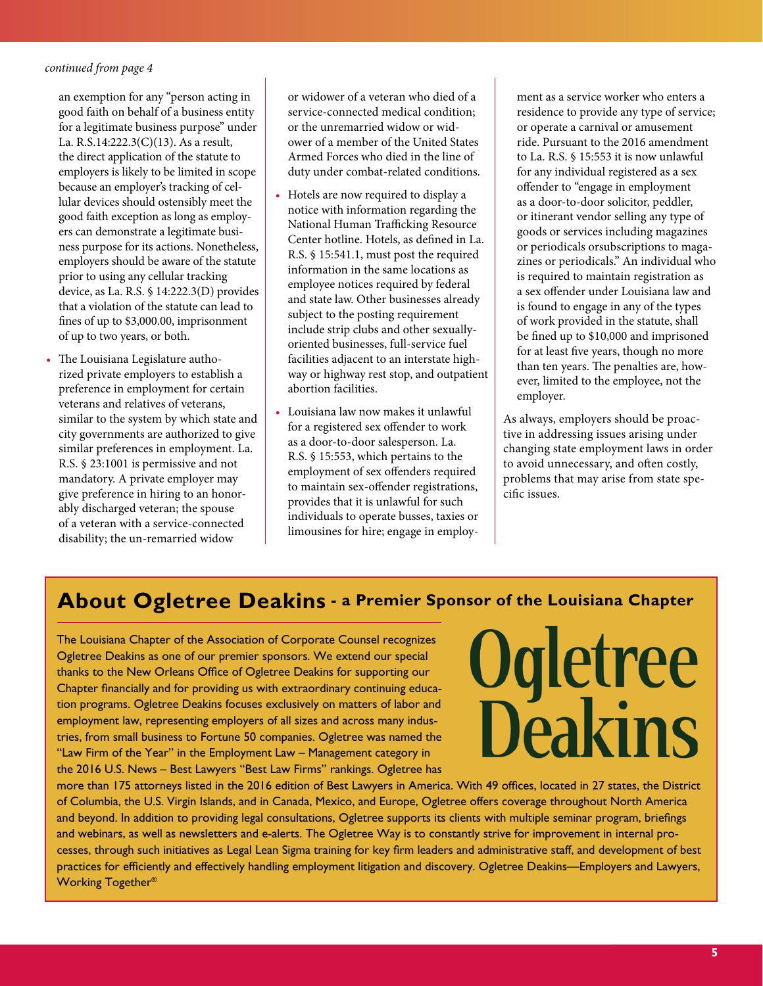#### <span id="page-4-1"></span>*[continued from page 4](#page-3-0)*

an exemption for any "person acting in good faith on behalf of a business entity for a legitimate business purpose" under La. R.S.14:222.3(C)(13). As a result, the direct application of the statute to employers is likely to be limited in scope because an employer's tracking of cellular devices should ostensibly meet the good faith exception as long as employers can demonstrate a legitimate business purpose for its actions. Nonetheless, employers should be aware of the statute prior to using any cellular tracking device, as La. R.S. § 14:222.3(D) provides that a violation of the statute can lead to fines of up to \$3,000.00, imprisonment of up to two years, or both.

• The Louisiana Legislature authorized private employers to establish a preference in employment for certain veterans and relatives of veterans, similar to the system by which state and city governments are authorized to give similar preferences in employment. La. R.S. § 23:1001 is permissive and not mandatory. A private employer may give preference in hiring to an honorably discharged veteran; the spouse of a veteran with a service-connected disability; the un-remarried widow

or widower of a veteran who died of a service-connected medical condition; or the unremarried widow or widower of a member of the United States Armed Forces who died in the line of duty under combat-related conditions.

- Hotels are now required to display a notice with information regarding the National Human Trafficking Resource Center hotline. Hotels, as defined in La. R.S. § 15:541.1, must post the required information in the same locations as employee notices required by federal and state law. Other businesses already subject to the posting requirement include strip clubs and other sexuallyoriented businesses, full-service fuel facilities adjacent to an interstate highway or highway rest stop, and outpatient abortion facilities.
- Louisiana law now makes it unlawful for a registered sex offender to work as a door-to-door salesperson. La. R.S. § 15:553, which pertains to the employment of sex offenders required to maintain sex-offender registrations, provides that it is unlawful for such individuals to operate busses, taxies or limousines for hire; engage in employ-

ment as a service worker who enters a residence to provide any type of service; or operate a carnival or amusement ride. Pursuant to the 2016 amendment to La. R.S. § 15:553 it is now unlawful for any individual registered as a sex offender to "engage in employment as a door-to-door solicitor, peddler, or itinerant vendor selling any type of goods or services including magazines or periodicals orsubscriptions to magazines or periodicals." An individual who is required to maintain registration as a sex offender under Louisiana law and is found to engage in any of the types of work provided in the statute, shall be fined up to \$10,000 and imprisoned for at least five years, though no more than ten years. The penalties are, however, limited to the employee, not the employer.

As always, employers should be proactive in addressing issues arising under changing state employment laws in order to avoid unnecessary, and often costly, problems that may arise from state specific issues.

# <span id="page-4-0"></span>**About Ogletree Deakins - a Premier Sponsor of the Louisiana Chapter**

The Louisiana Chapter of the Association of Corporate Counsel recognizes Ogletree Deakins as one of our premier sponsors. We extend our special thanks to the New Orleans Office of Ogletree Deakins for supporting our Chapter financially and for providing us with extraordinary continuing education programs. Ogletree Deakins focuses exclusively on matters of labor and employment law, representing employers of all sizes and across many industries, from small business to Fortune 50 companies. Ogletree was named the "Law Firm of the Year" in the Employment Law – Management category in the 2016 U.S. News – Best Lawyers "Best Law Firms" rankings. Ogletree has

# **Ogletree**<br>Deakins

more than 175 attorneys listed in the 2016 edition of Best Lawyers in America. With 49 offices, located in 27 states, the District of Columbia, the U.S. Virgin Islands, and in Canada, Mexico, and Europe, Ogletree offers coverage throughout North America and beyond. In addition to providing legal consultations, Ogletree supports its clients with multiple seminar program, briefings and webinars, as well as newsletters and e-alerts. The Ogletree Way is to constantly strive for improvement in internal processes, through such initiatives as Legal Lean Sigma training for key firm leaders and administrative staff, and development of best practices for efficiently and effectively handling employment litigation and discovery. Ogletree Deakins—Employers and Lawyers, Working Together®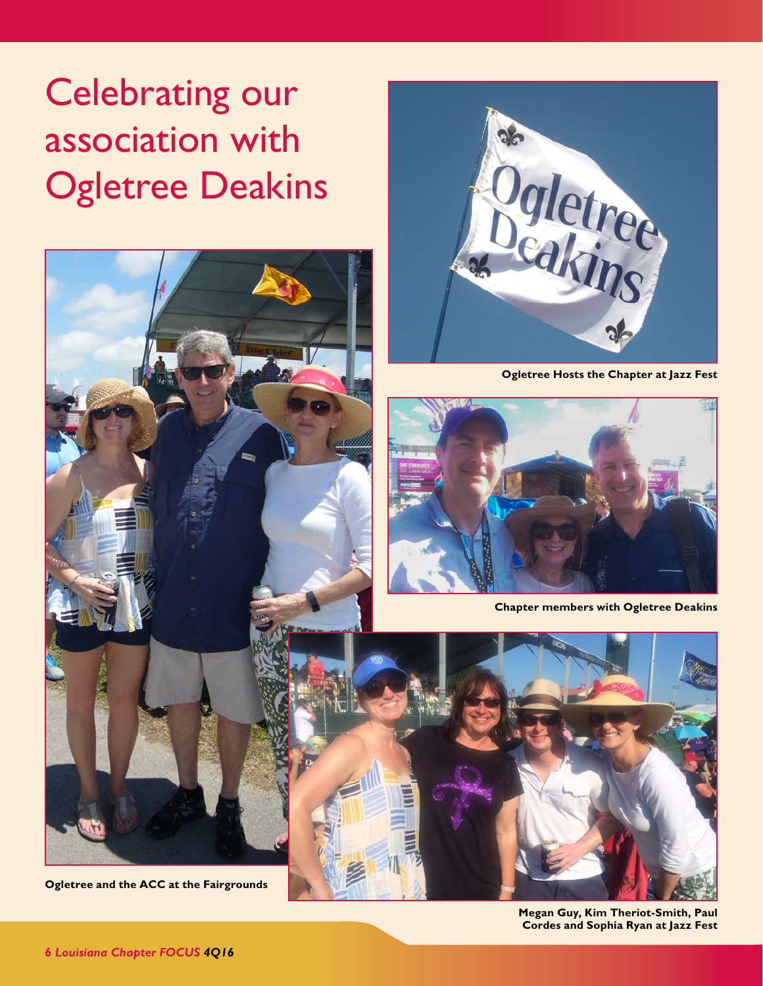# <span id="page-5-0"></span>Celebrating our association with Ogletree Deakins



**Ogletree and the ACC at the Fairgrounds**



**Ogletree Hosts the Chapter at Jazz Fest**



**Chapter members with Ogletree Deakins**



**Megan Guy, Kim Theriot-Smith, Paul Cordes and Sophia Ryan at Jazz Fest**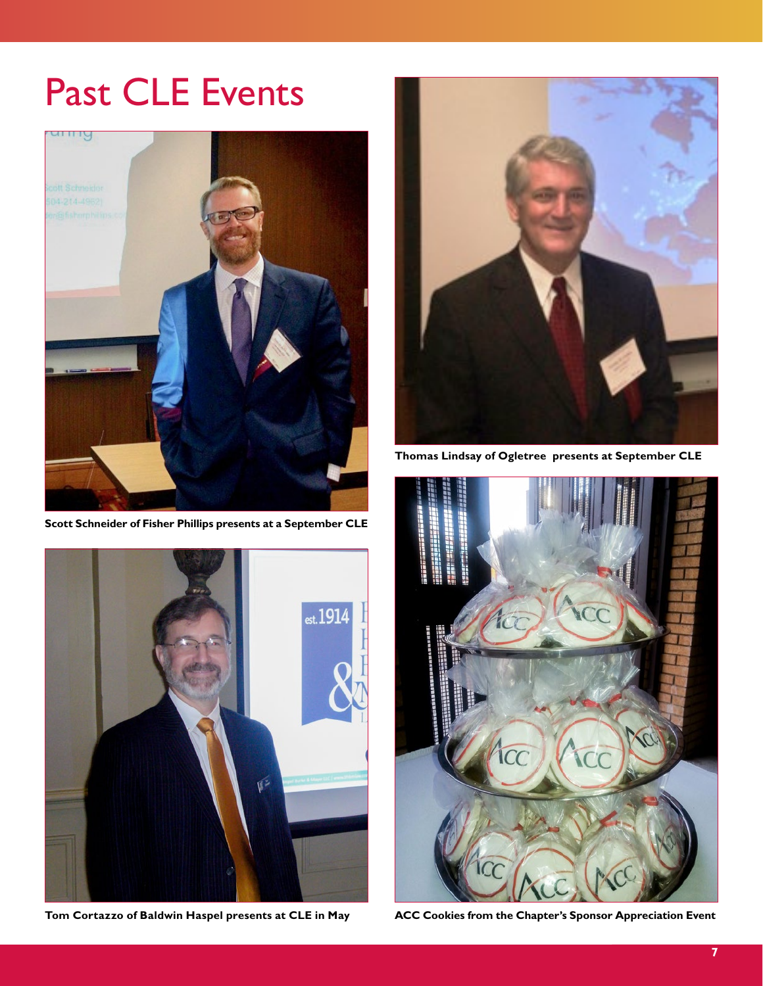# <span id="page-6-0"></span>Past CLE Events



**Scott Schneider of Fisher Phillips presents at a September CLE**



**Tom Cortazzo of Baldwin Haspel presents at CLE in May**



**Thomas Lindsay of Ogletree presents at September CLE**



**ACC Cookies from the Chapter's Sponsor Appreciation Event**